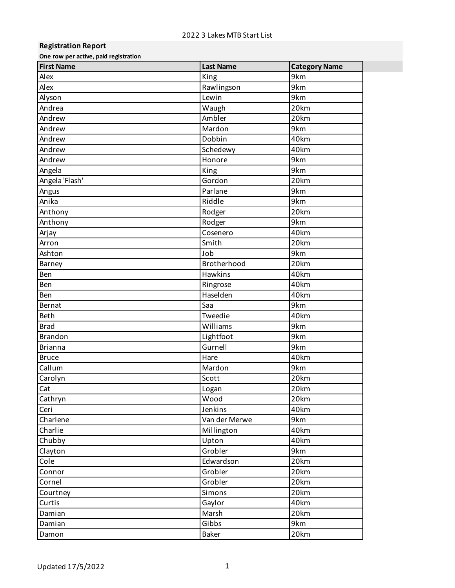# **Registration Report**

**One row per active, paid registration**

| <b>First Name</b> | <b>Last Name</b> | <b>Category Name</b> |
|-------------------|------------------|----------------------|
| Alex              | King             | 9km                  |
| Alex              | Rawlingson       | 9km                  |
| Alyson            | Lewin            | 9km                  |
| Andrea            | Waugh            | 20km                 |
| Andrew            | Ambler           | 20km                 |
| Andrew            | Mardon           | 9km                  |
| Andrew            | Dobbin           | 40km                 |
| Andrew            | Schedewy         | 40km                 |
| Andrew            | Honore           | 9km                  |
| Angela            | King             | 9km                  |
| Angela 'Flash'    | Gordon           | 20km                 |
| Angus             | Parlane          | 9km                  |
| Anika             | Riddle           | 9km                  |
| Anthony           | Rodger           | 20km                 |
| Anthony           | Rodger           | 9km                  |
| Arjay             | Cosenero         | 40km                 |
| Arron             | Smith            | 20km                 |
| Ashton            | Job              | 9km                  |
| Barney            | Brotherhood      | 20km                 |
| Ben               | <b>Hawkins</b>   | 40km                 |
| Ben               | Ringrose         | 40km                 |
| Ben               | Haselden         | 40km                 |
| <b>Bernat</b>     | Saa              | 9km                  |
| <b>Beth</b>       | Tweedie          | 40km                 |
| <b>Brad</b>       | Williams         | 9km                  |
| <b>Brandon</b>    | Lightfoot        | 9km                  |
| <b>Brianna</b>    | Gurnell          | 9km                  |
| <b>Bruce</b>      | Hare             | 40km                 |
| Callum            | Mardon           | 9km                  |
| Carolyn           | Scott            | 20km                 |
| Cat               | Logan            | 20km                 |
| Cathryn           | Wood             | 20km                 |
| Ceri              | Jenkins          | 40km                 |
| Charlene          | Van der Merwe    | 9km                  |
| Charlie           | Millington       | 40km                 |
| Chubby            | Upton            | 40km                 |
| Clayton           | Grobler          | 9km                  |
| Cole              | Edwardson        | 20km                 |
| Connor            | Grobler          | 20km                 |
| Cornel            | Grobler          | 20km                 |
| Courtney          | Simons           | 20km                 |
| Curtis            | Gaylor           | 40km                 |
| Damian            | Marsh            | 20km                 |
| Damian            | Gibbs            | 9km                  |
| Damon             | <b>Baker</b>     | 20km                 |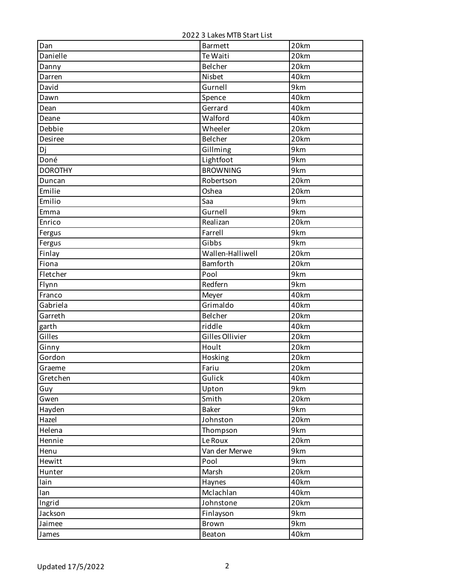| Dan            | <b>Barmett</b>   | 20km |
|----------------|------------------|------|
| Danielle       | Te Waiti         | 20km |
| Danny          | Belcher          | 20km |
| Darren         | Nisbet           | 40km |
| David          | Gurnell          | 9km  |
| Dawn           | Spence           | 40km |
| Dean           | Gerrard          | 40km |
| Deane          | Walford          | 40km |
| Debbie         | Wheeler          | 20km |
| Desiree        | Belcher          | 20km |
| Dj             | Gillming         | 9km  |
| Doné           | Lightfoot        | 9km  |
| <b>DOROTHY</b> | <b>BROWNING</b>  | 9km  |
| Duncan         | Robertson        | 20km |
| Emilie         | Oshea            | 20km |
| Emilio         | Saa              | 9km  |
| Emma           | Gurnell          | 9km  |
| Enrico         | Realizan         | 20km |
| Fergus         | Farrell          | 9km  |
| Fergus         | Gibbs            | 9km  |
| Finlay         | Wallen-Halliwell | 20km |
| Fiona          | Bamforth         | 20km |
| Fletcher       | Pool             | 9km  |
| Flynn          | Redfern          | 9km  |
| Franco         | Meyer            | 40km |
| Gabriela       | Grimaldo         | 40km |
| Garreth        | Belcher          | 20km |
| garth          | riddle           | 40km |
| Gilles         | Gilles Ollivier  | 20km |
| Ginny          | Hoult            | 20km |
| Gordon         | Hosking          | 20km |
| Graeme         | Fariu            | 20km |
| Gretchen       | Gulick           | 40km |
| Guy            | Upton            | 9km  |
| Gwen           | Smith            | 20km |
| Hayden         | <b>Baker</b>     | 9km  |
| Hazel          | Johnston         | 20km |
| Helena         | Thompson         | 9km  |
| Hennie         | Le Roux          | 20km |
| Henu           | Van der Merwe    | 9km  |
| Hewitt         | Pool             | 9km  |
| Hunter         | Marsh            | 20km |
| lain           | Haynes           | 40km |
| lan            | Mclachlan        | 40km |
| Ingrid         | Johnstone        | 20km |
| Jackson        | Finlayson        | 9km  |
| Jaimee         | Brown            | 9km  |
| James          | Beaton           | 40km |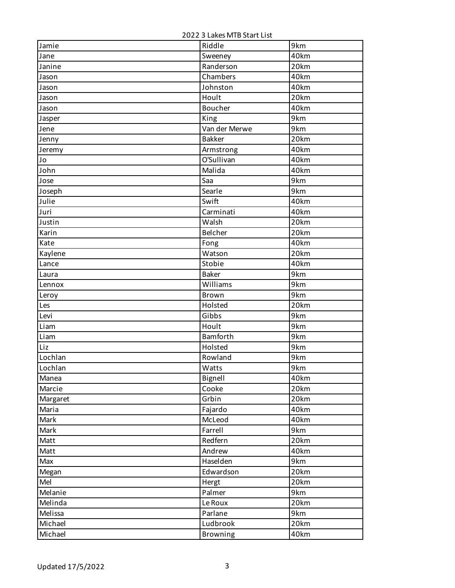| Jamie    | Riddle                        | 9km  |
|----------|-------------------------------|------|
| Jane     | Sweeney                       | 40km |
| Janine   | Randerson                     | 20km |
| Jason    | Chambers                      | 40km |
| Jason    | Johnston                      | 40km |
| Jason    | Hoult                         | 20km |
| Jason    | Boucher                       | 40km |
| Jasper   | King                          | 9km  |
| Jene     | Van der Merwe                 | 9km  |
| Jenny    | <b>Bakker</b>                 | 20km |
| Jeremy   | Armstrong                     | 40km |
| Jo       | O'Sullivan                    | 40km |
| John     | $\overline{\mathsf{M}}$ alida | 40km |
| Jose     | Saa                           | 9km  |
| Joseph   | Searle                        | 9km  |
| Julie    | Swift                         | 40km |
| Juri     | Carminati                     | 40km |
| Justin   | Walsh                         | 20km |
| Karin    | Belcher                       | 20km |
| Kate     | Fong                          | 40km |
| Kaylene  | Watson                        | 20km |
| Lance    | Stobie                        | 40km |
| Laura    | <b>Baker</b>                  | 9km  |
| Lennox   | Williams                      | 9km  |
| Leroy    | <b>Brown</b>                  | 9km  |
| Les      | Holsted                       | 20km |
| Levi     | Gibbs                         | 9km  |
| Liam     | Hoult                         | 9km  |
| Liam     | Bamforth                      | 9km  |
| Liz      | Holsted                       | 9km  |
| Lochlan  | Rowland                       | 9km  |
| Lochlan  | Watts                         | 9km  |
| Manea    | Bignell                       | 40km |
| Marcie   | Cooke                         | 20km |
| Margaret | Grbin                         | 20km |
| Maria    | Fajardo                       | 40km |
| Mark     | McLeod                        | 40km |
| Mark     | Farrell                       | 9km  |
| Matt     | Redfern                       | 20km |
| Matt     | Andrew                        | 40km |
| Max      | Haselden                      | 9km  |
| Megan    | Edwardson                     | 20km |
| Mel      | Hergt                         | 20km |
| Melanie  | Palmer                        | 9km  |
| Melinda  | Le Roux                       | 20km |
| Melissa  | Parlane                       | 9km  |
| Michael  | Ludbrook                      | 20km |
| Michael  | <b>Browning</b>               | 40km |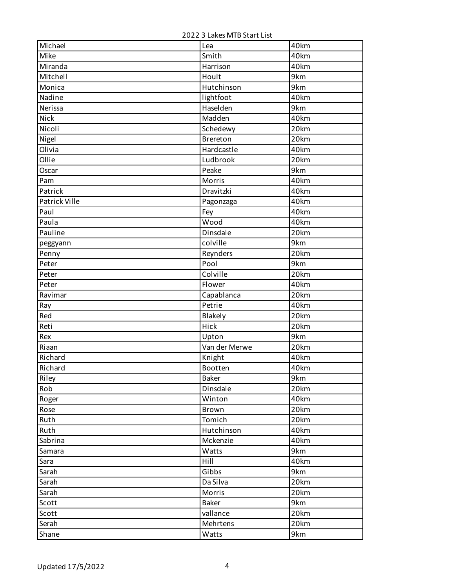2022 3 Lakes MTB Start List

| Michael       | Lea           | 40km |
|---------------|---------------|------|
| Mike          | Smith         | 40km |
| Miranda       | Harrison      | 40km |
| Mitchell      | Hoult         | 9km  |
| Monica        | Hutchinson    | 9km  |
| Nadine        | lightfoot     | 40km |
| Nerissa       | Haselden      | 9km  |
| Nick          | Madden        | 40km |
| Nicoli        | Schedewy      | 20km |
| Nigel         | Brereton      | 20km |
| Olivia        | Hardcastle    | 40km |
| Ollie         | Ludbrook      | 20km |
| Oscar         | Peake         | 9km  |
| Pam           | Morris        | 40km |
| Patrick       | Dravitzki     | 40km |
| Patrick Ville | Pagonzaga     | 40km |
| Paul          | Fey           | 40km |
| Paula         | Wood          | 40km |
| Pauline       | Dinsdale      | 20km |
| peggyann      | colville      | 9km  |
| Penny         | Reynders      | 20km |
| Peter         | Pool          | 9km  |
| Peter         | Colville      | 20km |
| Peter         | Flower        | 40km |
| Ravimar       | Capablanca    | 20km |
| Ray           | Petrie        | 40km |
| Red           | Blakely       | 20km |
| Reti          | Hick          | 20km |
| Rex           | Upton         | 9km  |
| Riaan         | Van der Merwe | 20km |
| Richard       | Knight        | 40km |
| Richard       | Bootten       | 40km |
| Riley         | <b>Baker</b>  | 9km  |
| Rob           | Dinsdale      | 20km |
| Roger         | Winton        | 40km |
| Rose          | Brown         | 20km |
| Ruth          | Tomich        | 20km |
| Ruth          | Hutchinson    | 40km |
| Sabrina       | Mckenzie      | 40km |
| Samara        | Watts         | 9km  |
| Sara          | Hill          | 40km |
| Sarah         | Gibbs         | 9km  |
| Sarah         | Da Silva      | 20km |
| Sarah         | Morris        | 20km |
| Scott         | <b>Baker</b>  | 9km  |
| Scott         | vallance      | 20km |
| Serah         | Mehrtens      | 20km |
| Shane         | Watts         | 9km  |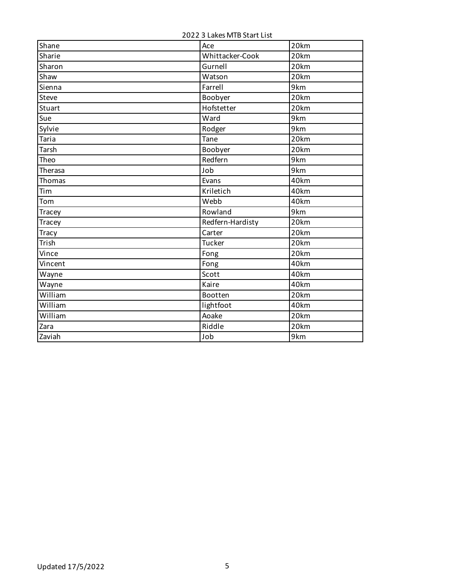2022 3 Lakes MTB Start List

| Shane   | Ace              | 20km |
|---------|------------------|------|
| Sharie  | Whittacker-Cook  | 20km |
| Sharon  | Gurnell          | 20km |
| Shaw    | Watson           | 20km |
| Sienna  | Farrell          | 9km  |
| Steve   | Boobyer          | 20km |
| Stuart  | Hofstetter       | 20km |
| Sue     | Ward             | 9km  |
| Sylvie  | Rodger           | 9km  |
| Taria   | Tane             | 20km |
| Tarsh   | Boobyer          | 20km |
| Theo    | Redfern          | 9km  |
| Therasa | Job              | 9km  |
| Thomas  | Evans            | 40km |
| Tim     | Kriletich        | 40km |
| Tom     | Webb             | 40km |
| Tracey  | Rowland          | 9km  |
| Tracey  | Redfern-Hardisty | 20km |
| Tracy   | Carter           | 20km |
| Trish   | Tucker           | 20km |
| Vince   | Fong             | 20km |
| Vincent | Fong             | 40km |
| Wayne   | Scott            | 40km |
| Wayne   | Kaire            | 40km |
| William | Bootten          | 20km |
| William | lightfoot        | 40km |
| William | Aoake            | 20km |
| Zara    | Riddle           | 20km |
| Zaviah  | Job              | 9km  |